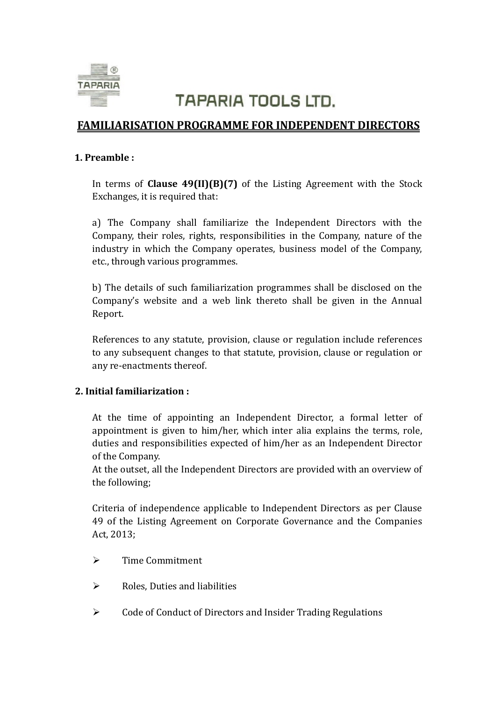

# **TAPARIA TOOLS LTD.**

## **FAMILIARISATION PROGRAMME FOR INDEPENDENT DIRECTORS**

#### **1. Preamble :**

In terms of **Clause 49(II)(B)(7)** of the Listing Agreement with the Stock Exchanges, it is required that:

a) The Company shall familiarize the Independent Directors with the Company, their roles, rights, responsibilities in the Company, nature of the industry in which the Company operates, business model of the Company, etc., through various programmes.

b) The details of such familiarization programmes shall be disclosed on the Company's website and a web link thereto shall be given in the Annual Report.

References to any statute, provision, clause or regulation include references to any subsequent changes to that statute, provision, clause or regulation or any re-enactments thereof.

### **2. Initial familiarization :**

At the time of appointing an Independent Director, a formal letter of appointment is given to him/her, which inter alia explains the terms, role, duties and responsibilities expected of him/her as an Independent Director of the Company.

At the outset, all the Independent Directors are provided with an overview of the following;

Criteria of independence applicable to Independent Directors as per Clause 49 of the Listing Agreement on Corporate Governance and the Companies Act, 2013;

- $\triangleright$  Time Commitment
- $\triangleright$  Roles, Duties and liabilities
- $\triangleright$  Code of Conduct of Directors and Insider Trading Regulations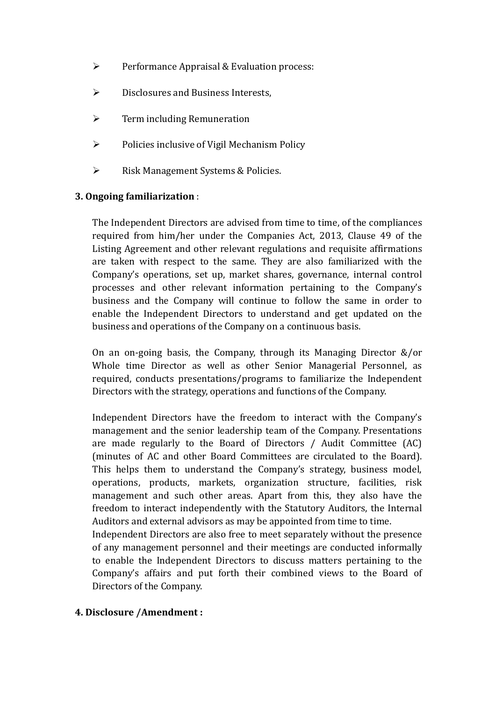- $\triangleright$  Performance Appraisal & Evaluation process:
- $\triangleright$  Disclosures and Business Interests,
- $\triangleright$  Term including Remuneration
- $\triangleright$  Policies inclusive of Vigil Mechanism Policy
- $\triangleright$  Risk Management Systems & Policies.

### **3. Ongoing familiarization** :

The Independent Directors are advised from time to time, of the compliances required from him/her under the Companies Act, 2013, Clause 49 of the Listing Agreement and other relevant regulations and requisite affirmations are taken with respect to the same. They are also familiarized with the Company's operations, set up, market shares, governance, internal control processes and other relevant information pertaining to the Company's business and the Company will continue to follow the same in order to enable the Independent Directors to understand and get updated on the business and operations of the Company on a continuous basis.

On an on-going basis, the Company, through its Managing Director &/or Whole time Director as well as other Senior Managerial Personnel, as required, conducts presentations/programs to familiarize the Independent Directors with the strategy, operations and functions of the Company.

Independent Directors have the freedom to interact with the Company's management and the senior leadership team of the Company. Presentations are made regularly to the Board of Directors / Audit Committee (AC) (minutes of AC and other Board Committees are circulated to the Board). This helps them to understand the Company's strategy, business model, operations, products, markets, organization structure, facilities, risk management and such other areas. Apart from this, they also have the freedom to interact independently with the Statutory Auditors, the Internal Auditors and external advisors as may be appointed from time to time.

Independent Directors are also free to meet separately without the presence of any management personnel and their meetings are conducted informally to enable the Independent Directors to discuss matters pertaining to the Company's affairs and put forth their combined views to the Board of Directors of the Company.

#### **4. Disclosure /Amendment :**